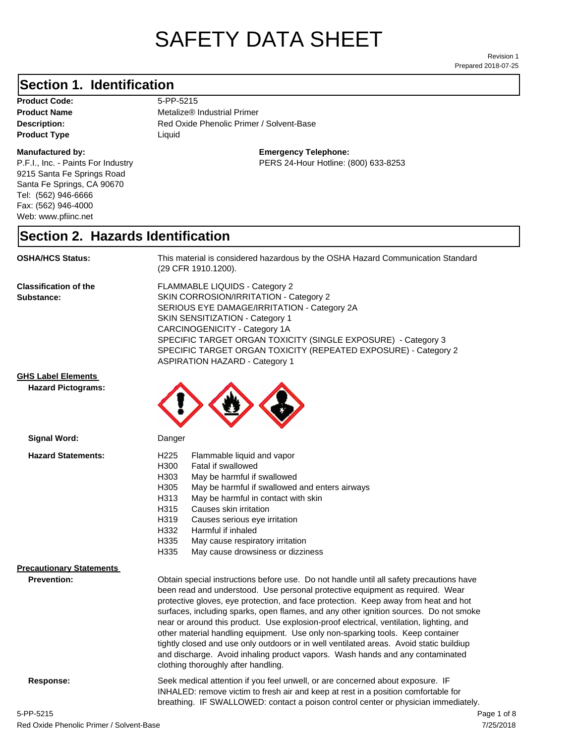# SAFETY DATA SHEET

Prepared 2018-07-25 Revision 1

### **Section 1. Identification**

Product Code: 5-PP-5215 **Product Type Liquid Liquid** 

#### **Manufactured by:**

P.F.I., Inc. - Paints For Industry 9215 Santa Fe Springs Road Santa Fe Springs, CA 90670 Tel: (562) 946-6666 Fax: (562) 946-4000 Web: www.pfiinc.net

Description: Red Oxide Phenolic Primer / Solvent-Base **Product Name** Metalize® Industrial Primer

**Emergency Telephone:**

PERS 24-Hour Hotline: (800) 633-8253

#### **Section 2. Hazards Identification**

**OSHA/HCS Status:** This material is considered hazardous by the OSHA Hazard Communication Standard (29 CFR 1910.1200).

**Classification of the Substance:**

FLAMMABLE LIQUIDS - Category 2 SKIN CORROSION/IRRITATION - Category 2 SERIOUS EYE DAMAGE/IRRITATION - Category 2A SKIN SENSITIZATION - Category 1 CARCINOGENICITY - Category 1A SPECIFIC TARGET ORGAN TOXICITY (SINGLE EXPOSURE) - Category 3 SPECIFIC TARGET ORGAN TOXICITY (REPEATED EXPOSURE) - Category 2 ASPIRATION HAZARD - Category 1

#### **GHS Label Elements**

**Signal Word:**

**Hazard Pictograms:**



| <b>Hazard Statements:</b>       | H <sub>225</sub><br>H300<br>H303<br>H305<br>H313<br>H315<br>H319<br>H332 | Flammable liquid and vapor<br>Fatal if swallowed<br>May be harmful if swallowed<br>May be harmful if swallowed and enters airways<br>May be harmful in contact with skin<br>Causes skin irritation<br>Causes serious eye irritation<br>Harmful if inhaled                                                                                                                                                                                                                                                                                                                                                                                                                                                         |  |
|---------------------------------|--------------------------------------------------------------------------|-------------------------------------------------------------------------------------------------------------------------------------------------------------------------------------------------------------------------------------------------------------------------------------------------------------------------------------------------------------------------------------------------------------------------------------------------------------------------------------------------------------------------------------------------------------------------------------------------------------------------------------------------------------------------------------------------------------------|--|
|                                 | H335<br>H335                                                             | May cause respiratory irritation<br>May cause drowsiness or dizziness                                                                                                                                                                                                                                                                                                                                                                                                                                                                                                                                                                                                                                             |  |
| <b>Precautionary Statements</b> |                                                                          |                                                                                                                                                                                                                                                                                                                                                                                                                                                                                                                                                                                                                                                                                                                   |  |
| <b>Prevention:</b>              |                                                                          | Obtain special instructions before use. Do not handle until all safety precautions have<br>been read and understood. Use personal protective equipment as required. Wear<br>protective gloves, eye protection, and face protection. Keep away from heat and hot<br>surfaces, including sparks, open flames, and any other ignition sources. Do not smoke<br>near or around this product. Use explosion-proof electrical, ventilation, lighting, and<br>other material handling equipment. Use only non-sparking tools. Keep container<br>tightly closed and use only outdoors or in well ventilated areas. Avoid static buildiup<br>and discharge. Avoid inhaling product vapors. Wash hands and any contaminated |  |
| Response:                       |                                                                          | clothing thoroughly after handling.<br>Seek medical attention if you feel unwell, or are concerned about exposure. IF<br>INHALED: remove victim to fresh air and keep at rest in a position comfortable for<br>breathing. IF SWALLOWED: contact a poison control center or physician immediately.                                                                                                                                                                                                                                                                                                                                                                                                                 |  |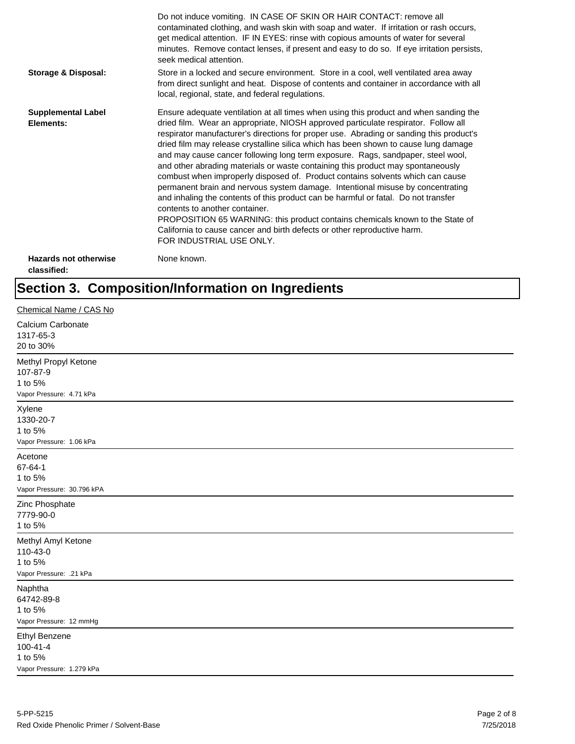|                                             | Do not induce vomiting. IN CASE OF SKIN OR HAIR CONTACT: remove all<br>contaminated clothing, and wash skin with soap and water. If irritation or rash occurs,<br>get medical attention. IF IN EYES: rinse with copious amounts of water for several<br>minutes. Remove contact lenses, if present and easy to do so. If eye irritation persists,<br>seek medical attention.                                                                                                                                                                                                                                                                                                                                                                                                                                                                                                                                                                                                                                             |
|---------------------------------------------|--------------------------------------------------------------------------------------------------------------------------------------------------------------------------------------------------------------------------------------------------------------------------------------------------------------------------------------------------------------------------------------------------------------------------------------------------------------------------------------------------------------------------------------------------------------------------------------------------------------------------------------------------------------------------------------------------------------------------------------------------------------------------------------------------------------------------------------------------------------------------------------------------------------------------------------------------------------------------------------------------------------------------|
| <b>Storage &amp; Disposal:</b>              | Store in a locked and secure environment. Store in a cool, well ventilated area away<br>from direct sunlight and heat. Dispose of contents and container in accordance with all<br>local, regional, state, and federal regulations.                                                                                                                                                                                                                                                                                                                                                                                                                                                                                                                                                                                                                                                                                                                                                                                      |
| <b>Supplemental Label</b><br>Elements:      | Ensure adequate ventilation at all times when using this product and when sanding the<br>dried film. Wear an appropriate, NIOSH approved particulate respirator. Follow all<br>respirator manufacturer's directions for proper use. Abrading or sanding this product's<br>dried film may release crystalline silica which has been shown to cause lung damage<br>and may cause cancer following long term exposure. Rags, sandpaper, steel wool,<br>and other abrading materials or waste containing this product may spontaneously<br>combust when improperly disposed of. Product contains solvents which can cause<br>permanent brain and nervous system damage. Intentional misuse by concentrating<br>and inhaling the contents of this product can be harmful or fatal. Do not transfer<br>contents to another container.<br>PROPOSITION 65 WARNING: this product contains chemicals known to the State of<br>California to cause cancer and birth defects or other reproductive harm.<br>FOR INDUSTRIAL USE ONLY. |
| <b>Hazards not otherwise</b><br>classified: | None known.                                                                                                                                                                                                                                                                                                                                                                                                                                                                                                                                                                                                                                                                                                                                                                                                                                                                                                                                                                                                              |

## **Section 3. Composition/Information on Ingredients**

| Chemical Name / CAS No                                                         |
|--------------------------------------------------------------------------------|
| Calcium Carbonate<br>1317-65-3<br>20 to 30%                                    |
| Methyl Propyl Ketone<br>107-87-9<br>1 to 5%<br>Vapor Pressure: 4.71 kPa        |
| Xylene<br>1330-20-7<br>1 to 5%<br>Vapor Pressure: 1.06 kPa                     |
| Acetone<br>67-64-1<br>1 to 5%<br>Vapor Pressure: 30.796 kPA                    |
| Zinc Phosphate<br>7779-90-0<br>1 to 5%                                         |
| Methyl Amyl Ketone<br>110-43-0<br>1 to 5%<br>Vapor Pressure: .21 kPa           |
| Naphtha<br>64742-89-8<br>1 to 5%<br>Vapor Pressure: 12 mmHg                    |
| <b>Ethyl Benzene</b><br>$100 - 41 - 4$<br>1 to 5%<br>Vapor Pressure: 1.279 kPa |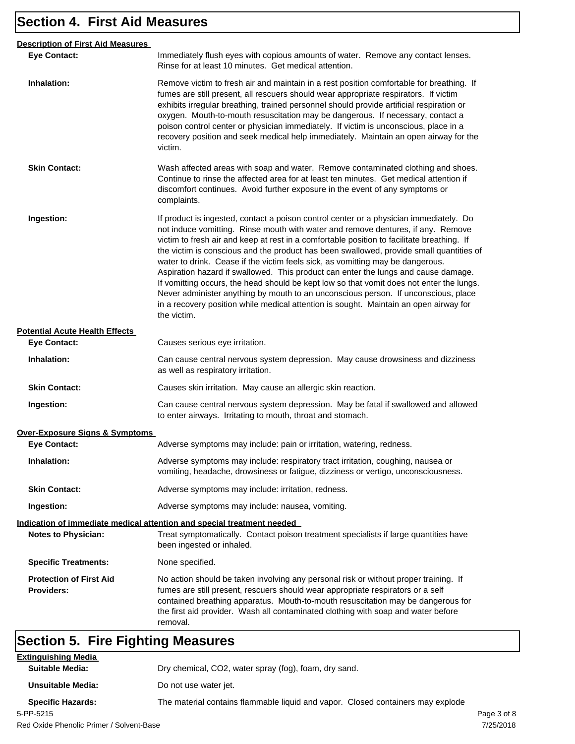## **Section 4. First Aid Measures**

| <b>Description of First Aid Measures</b>            |                                                                                                                                                                                                                                                                                                                                                                                                                                                                                                                                                                                                                                                                                                                                                                                                                                       |
|-----------------------------------------------------|---------------------------------------------------------------------------------------------------------------------------------------------------------------------------------------------------------------------------------------------------------------------------------------------------------------------------------------------------------------------------------------------------------------------------------------------------------------------------------------------------------------------------------------------------------------------------------------------------------------------------------------------------------------------------------------------------------------------------------------------------------------------------------------------------------------------------------------|
| <b>Eye Contact:</b>                                 | Immediately flush eyes with copious amounts of water. Remove any contact lenses.<br>Rinse for at least 10 minutes. Get medical attention.                                                                                                                                                                                                                                                                                                                                                                                                                                                                                                                                                                                                                                                                                             |
| Inhalation:                                         | Remove victim to fresh air and maintain in a rest position comfortable for breathing. If<br>fumes are still present, all rescuers should wear appropriate respirators. If victim<br>exhibits irregular breathing, trained personnel should provide artificial respiration or<br>oxygen. Mouth-to-mouth resuscitation may be dangerous. If necessary, contact a<br>poison control center or physician immediately. If victim is unconscious, place in a<br>recovery position and seek medical help immediately. Maintain an open airway for the<br>victim.                                                                                                                                                                                                                                                                             |
| <b>Skin Contact:</b>                                | Wash affected areas with soap and water. Remove contaminated clothing and shoes.<br>Continue to rinse the affected area for at least ten minutes. Get medical attention if<br>discomfort continues. Avoid further exposure in the event of any symptoms or<br>complaints.                                                                                                                                                                                                                                                                                                                                                                                                                                                                                                                                                             |
| Ingestion:                                          | If product is ingested, contact a poison control center or a physician immediately. Do<br>not induce vomitting. Rinse mouth with water and remove dentures, if any. Remove<br>victim to fresh air and keep at rest in a comfortable position to facilitate breathing. If<br>the victim is conscious and the product has been swallowed, provide small quantities of<br>water to drink. Cease if the victim feels sick, as vomitting may be dangerous.<br>Aspiration hazard if swallowed. This product can enter the lungs and cause damage.<br>If vomitting occurs, the head should be kept low so that vomit does not enter the lungs.<br>Never administer anything by mouth to an unconscious person. If unconscious, place<br>in a recovery position while medical attention is sought. Maintain an open airway for<br>the victim. |
| <b>Potential Acute Health Effects</b>               |                                                                                                                                                                                                                                                                                                                                                                                                                                                                                                                                                                                                                                                                                                                                                                                                                                       |
| <b>Eye Contact:</b>                                 | Causes serious eye irritation.                                                                                                                                                                                                                                                                                                                                                                                                                                                                                                                                                                                                                                                                                                                                                                                                        |
| Inhalation:                                         | Can cause central nervous system depression. May cause drowsiness and dizziness<br>as well as respiratory irritation.                                                                                                                                                                                                                                                                                                                                                                                                                                                                                                                                                                                                                                                                                                                 |
| <b>Skin Contact:</b>                                | Causes skin irritation. May cause an allergic skin reaction.                                                                                                                                                                                                                                                                                                                                                                                                                                                                                                                                                                                                                                                                                                                                                                          |
| Ingestion:                                          | Can cause central nervous system depression. May be fatal if swallowed and allowed<br>to enter airways. Irritating to mouth, throat and stomach.                                                                                                                                                                                                                                                                                                                                                                                                                                                                                                                                                                                                                                                                                      |
| <b>Over-Exposure Signs &amp; Symptoms</b>           |                                                                                                                                                                                                                                                                                                                                                                                                                                                                                                                                                                                                                                                                                                                                                                                                                                       |
| <b>Eye Contact:</b>                                 | Adverse symptoms may include: pain or irritation, watering, redness.                                                                                                                                                                                                                                                                                                                                                                                                                                                                                                                                                                                                                                                                                                                                                                  |
| Inhalation:                                         | Adverse symptoms may include: respiratory tract irritation, coughing, nausea or<br>vomiting, headache, drowsiness or fatigue, dizziness or vertigo, unconsciousness.                                                                                                                                                                                                                                                                                                                                                                                                                                                                                                                                                                                                                                                                  |
| <b>Skin Contact:</b>                                | Adverse symptoms may include: irritation, redness.                                                                                                                                                                                                                                                                                                                                                                                                                                                                                                                                                                                                                                                                                                                                                                                    |
| Ingestion:                                          | Adverse symptoms may include: nausea, vomiting.                                                                                                                                                                                                                                                                                                                                                                                                                                                                                                                                                                                                                                                                                                                                                                                       |
|                                                     | Indication of immediate medical attention and special treatment needed                                                                                                                                                                                                                                                                                                                                                                                                                                                                                                                                                                                                                                                                                                                                                                |
| <b>Notes to Physician:</b>                          | Treat symptomatically. Contact poison treatment specialists if large quantities have<br>been ingested or inhaled.                                                                                                                                                                                                                                                                                                                                                                                                                                                                                                                                                                                                                                                                                                                     |
| <b>Specific Treatments:</b>                         | None specified.                                                                                                                                                                                                                                                                                                                                                                                                                                                                                                                                                                                                                                                                                                                                                                                                                       |
| <b>Protection of First Aid</b><br><b>Providers:</b> | No action should be taken involving any personal risk or without proper training. If<br>fumes are still present, rescuers should wear appropriate respirators or a self<br>contained breathing apparatus. Mouth-to-mouth resuscitation may be dangerous for<br>the first aid provider. Wash all contaminated clothing with soap and water before<br>removal.                                                                                                                                                                                                                                                                                                                                                                                                                                                                          |

## **Section 5. Fire Fighting Measures**

| <b>Extinguishing Media</b>               |                                                                                 |             |
|------------------------------------------|---------------------------------------------------------------------------------|-------------|
| Suitable Media:                          | Dry chemical, CO2, water spray (fog), foam, dry sand.                           |             |
| Unsuitable Media:                        | Do not use water jet.                                                           |             |
| <b>Specific Hazards:</b>                 | The material contains flammable liquid and vapor. Closed containers may explode |             |
| 5-PP-5215                                |                                                                                 | Page 3 of 8 |
| Red Oxide Phenolic Primer / Solvent-Base |                                                                                 | 7/25/2018   |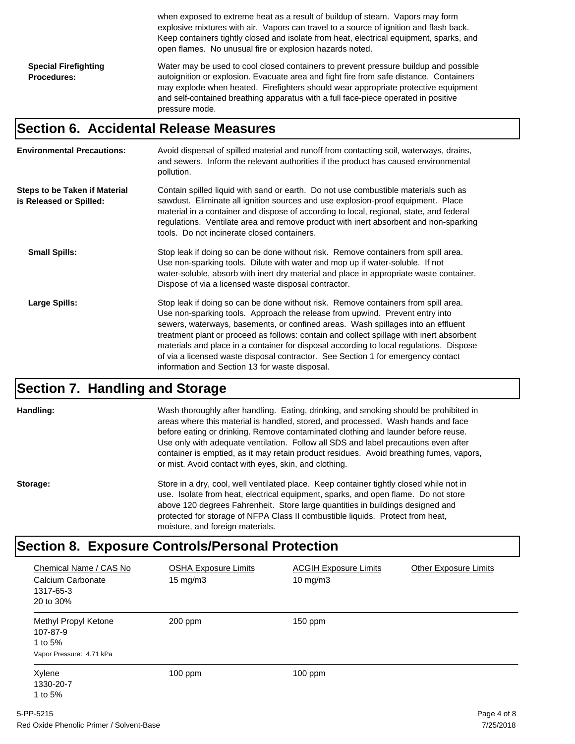|                                                   | when exposed to extreme heat as a result of buildup of steam. Vapors may form<br>explosive mixtures with air. Vapors can travel to a source of ignition and flash back.<br>Keep containers tightly closed and isolate from heat, electrical equipment, sparks, and<br>open flames. No unusual fire or explosion hazards noted.                                               |
|---------------------------------------------------|------------------------------------------------------------------------------------------------------------------------------------------------------------------------------------------------------------------------------------------------------------------------------------------------------------------------------------------------------------------------------|
| <b>Special Firefighting</b><br><b>Procedures:</b> | Water may be used to cool closed containers to prevent pressure buildup and possible<br>autoignition or explosion. Evacuate area and fight fire from safe distance. Containers<br>may explode when heated. Firefighters should wear appropriate protective equipment<br>and self-contained breathing apparatus with a full face-piece operated in positive<br>pressure mode. |

#### **Section 6. Accidental Release Measures**

| <b>Environmental Precautions:</b>                               | Avoid dispersal of spilled material and runoff from contacting soil, waterways, drains,<br>and sewers. Inform the relevant authorities if the product has caused environmental<br>pollution.                                                                                                                                                                                                                                                                                                                                                                                        |
|-----------------------------------------------------------------|-------------------------------------------------------------------------------------------------------------------------------------------------------------------------------------------------------------------------------------------------------------------------------------------------------------------------------------------------------------------------------------------------------------------------------------------------------------------------------------------------------------------------------------------------------------------------------------|
| <b>Steps to be Taken if Material</b><br>is Released or Spilled: | Contain spilled liquid with sand or earth. Do not use combustible materials such as<br>sawdust. Eliminate all ignition sources and use explosion-proof equipment. Place<br>material in a container and dispose of according to local, regional, state, and federal<br>regulations. Ventilate area and remove product with inert absorbent and non-sparking<br>tools. Do not incinerate closed containers.                                                                                                                                                                           |
| <b>Small Spills:</b>                                            | Stop leak if doing so can be done without risk. Remove containers from spill area.<br>Use non-sparking tools. Dilute with water and mop up if water-soluble. If not<br>water-soluble, absorb with inert dry material and place in appropriate waste container.<br>Dispose of via a licensed waste disposal contractor.                                                                                                                                                                                                                                                              |
| <b>Large Spills:</b>                                            | Stop leak if doing so can be done without risk. Remove containers from spill area.<br>Use non-sparking tools. Approach the release from upwind. Prevent entry into<br>sewers, waterways, basements, or confined areas. Wash spillages into an effluent<br>treatment plant or proceed as follows: contain and collect spillage with inert absorbent<br>materials and place in a container for disposal according to local regulations. Dispose<br>of via a licensed waste disposal contractor. See Section 1 for emergency contact<br>information and Section 13 for waste disposal. |

#### **Section 7. Handling and Storage**

**Handling:** Wash thoroughly after handling. Eating, drinking, and smoking should be prohibited in areas where this material is handled, stored, and processed. Wash hands and face before eating or drinking. Remove contaminated clothing and launder before reuse. Use only with adequate ventilation. Follow all SDS and label precautions even after container is emptied, as it may retain product residues. Avoid breathing fumes, vapors, or mist. Avoid contact with eyes, skin, and clothing.

Storage: Store in a dry, cool, well ventilated place. Keep container tightly closed while not in use. Isolate from heat, electrical equipment, sparks, and open flame. Do not store above 120 degrees Fahrenheit. Store large quantities in buildings designed and protected for storage of NFPA Class II combustible liquids. Protect from heat, moisture, and foreign materials.

#### **Section 8. Exposure Controls/Personal Protection**

| Chemical Name / CAS No<br>Calcium Carbonate<br>1317-65-3<br>20 to 30%   | <b>OSHA Exposure Limits</b><br>15 mg/m3 | <b>ACGIH Exposure Limits</b><br>10 mg/m $3$ | <b>Other Exposure Limits</b> |
|-------------------------------------------------------------------------|-----------------------------------------|---------------------------------------------|------------------------------|
| Methyl Propyl Ketone<br>107-87-9<br>1 to 5%<br>Vapor Pressure: 4.71 kPa | 200 ppm                                 | $150$ ppm                                   |                              |
| Xylene<br>1330-20-7<br>1 to 5%                                          | $100$ ppm                               | $100$ ppm                                   |                              |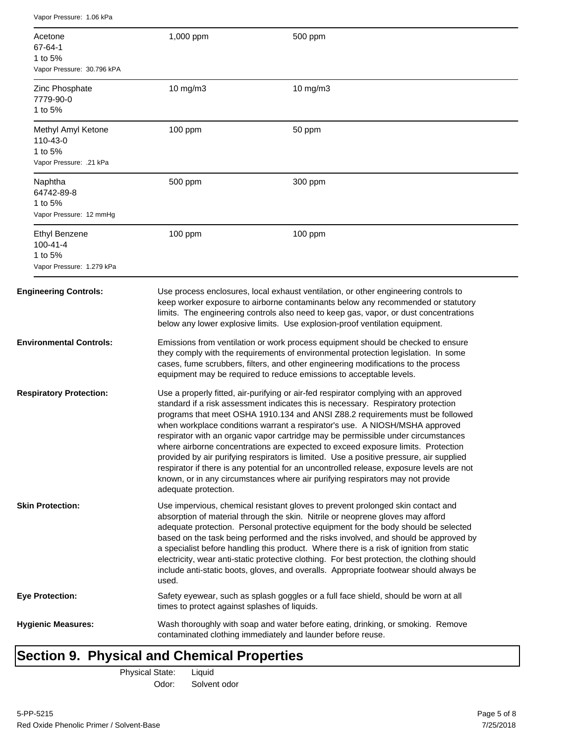| Acetone<br>67-64-1<br>1 to 5%<br>Vapor Pressure: 30.796 kPA                    | 1,000 ppm                                     | 500 ppm                                                                                                                                                                                                                                                                                                                                                                                                                                                                                                                                                                                                                                                                                                                                                                                       |
|--------------------------------------------------------------------------------|-----------------------------------------------|-----------------------------------------------------------------------------------------------------------------------------------------------------------------------------------------------------------------------------------------------------------------------------------------------------------------------------------------------------------------------------------------------------------------------------------------------------------------------------------------------------------------------------------------------------------------------------------------------------------------------------------------------------------------------------------------------------------------------------------------------------------------------------------------------|
| Zinc Phosphate<br>7779-90-0<br>1 to 5%                                         | 10 mg/m3                                      | 10 mg/m3                                                                                                                                                                                                                                                                                                                                                                                                                                                                                                                                                                                                                                                                                                                                                                                      |
| Methyl Amyl Ketone<br>110-43-0<br>1 to 5%<br>Vapor Pressure: .21 kPa           | 100 ppm                                       | 50 ppm                                                                                                                                                                                                                                                                                                                                                                                                                                                                                                                                                                                                                                                                                                                                                                                        |
| Naphtha<br>64742-89-8<br>1 to 5%<br>Vapor Pressure: 12 mmHg                    | 500 ppm                                       | 300 ppm                                                                                                                                                                                                                                                                                                                                                                                                                                                                                                                                                                                                                                                                                                                                                                                       |
| <b>Ethyl Benzene</b><br>$100 - 41 - 4$<br>1 to 5%<br>Vapor Pressure: 1.279 kPa | 100 ppm                                       | 100 ppm                                                                                                                                                                                                                                                                                                                                                                                                                                                                                                                                                                                                                                                                                                                                                                                       |
| <b>Engineering Controls:</b>                                                   |                                               | Use process enclosures, local exhaust ventilation, or other engineering controls to<br>keep worker exposure to airborne contaminants below any recommended or statutory<br>limits. The engineering controls also need to keep gas, vapor, or dust concentrations<br>below any lower explosive limits. Use explosion-proof ventilation equipment.                                                                                                                                                                                                                                                                                                                                                                                                                                              |
| Environmental Controls:                                                        |                                               | Emissions from ventilation or work process equipment should be checked to ensure<br>they comply with the requirements of environmental protection legislation. In some<br>cases, fume scrubbers, filters, and other engineering modifications to the process<br>equipment may be required to reduce emissions to acceptable levels.                                                                                                                                                                                                                                                                                                                                                                                                                                                           |
| <b>Respiratory Protection:</b>                                                 | adequate protection.                          | Use a properly fitted, air-purifying or air-fed respirator complying with an approved<br>standard if a risk assessment indicates this is necessary. Respiratory protection<br>programs that meet OSHA 1910.134 and ANSI Z88.2 requirements must be followed<br>when workplace conditions warrant a respirator's use. A NIOSH/MSHA approved<br>respirator with an organic vapor cartridge may be permissible under circumstances<br>where airborne concentrations are expected to exceed exposure limits. Protection<br>provided by air purifying respirators is limited. Use a positive pressure, air supplied<br>respirator if there is any potential for an uncontrolled release, exposure levels are not<br>known, or in any circumstances where air purifying respirators may not provide |
| <b>Skin Protection:</b>                                                        | used.                                         | Use impervious, chemical resistant gloves to prevent prolonged skin contact and<br>absorption of material through the skin. Nitrile or neoprene gloves may afford<br>adequate protection. Personal protective equipment for the body should be selected<br>based on the task being performed and the risks involved, and should be approved by<br>a specialist before handling this product. Where there is a risk of ignition from static<br>electricity, wear anti-static protective clothing. For best protection, the clothing should<br>include anti-static boots, gloves, and overalls. Appropriate footwear should always be                                                                                                                                                           |
| Eye Protection:                                                                | times to protect against splashes of liquids. | Safety eyewear, such as splash goggles or a full face shield, should be worn at all                                                                                                                                                                                                                                                                                                                                                                                                                                                                                                                                                                                                                                                                                                           |
| <b>Hygienic Measures:</b>                                                      |                                               | Wash thoroughly with soap and water before eating, drinking, or smoking. Remove<br>contaminated clothing immediately and launder before reuse.                                                                                                                                                                                                                                                                                                                                                                                                                                                                                                                                                                                                                                                |

## **Section 9. Physical and Chemical Properties**

Vapor Pressure: 1.06 kPa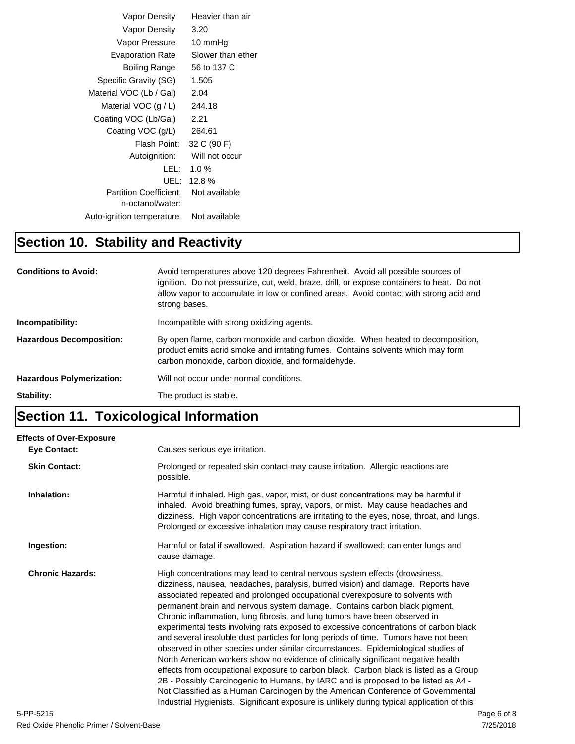| Vapor Density                              | Heavier than air  |
|--------------------------------------------|-------------------|
| Vapor Density                              | 3.20              |
| Vapor Pressure                             | 10 mmHg           |
| <b>Evaporation Rate</b>                    | Slower than ether |
| Boiling Range                              | 56 to 137 C       |
| Specific Gravity (SG)                      | 1.505             |
| Material VOC (Lb / Gal)                    | 2.04              |
| Material VOC $(g/L)$                       | 244.18            |
| Coating VOC (Lb/Gal)                       | 2.21              |
| Coating VOC (g/L)                          | 264.61            |
| Flash Point:                               | 32 C (90 F)       |
| Autoignition:                              | Will not occur    |
| LEL: I                                     | 1.0%              |
| UEL:                                       | 12.8%             |
| Partition Coefficient.<br>n-octanol/water: | Not available     |
| Auto-ignition temperature:                 | Not available     |

## **Section 10. Stability and Reactivity**

| <b>Conditions to Avoid:</b>      | Avoid temperatures above 120 degrees Fahrenheit. Avoid all possible sources of<br>ignition. Do not pressurize, cut, weld, braze, drill, or expose containers to heat. Do not<br>allow vapor to accumulate in low or confined areas. Avoid contact with strong acid and<br>strong bases. |
|----------------------------------|-----------------------------------------------------------------------------------------------------------------------------------------------------------------------------------------------------------------------------------------------------------------------------------------|
| Incompatibility:                 | Incompatible with strong oxidizing agents.                                                                                                                                                                                                                                              |
| <b>Hazardous Decomposition:</b>  | By open flame, carbon monoxide and carbon dioxide. When heated to decomposition,<br>product emits acrid smoke and irritating fumes. Contains solvents which may form<br>carbon monoxide, carbon dioxide, and formaldehyde.                                                              |
| <b>Hazardous Polymerization:</b> | Will not occur under normal conditions.                                                                                                                                                                                                                                                 |
| Stability:                       | The product is stable.                                                                                                                                                                                                                                                                  |

## **Section 11. Toxicological Information**

| <b>Effects of Over-Exposure</b> |                                                                                                                                                                                                                                                                                                                                                                                                                                                                                                                                                                                                                                                                                                                                                                                                                                                                                                                                                                                                                                                                                                                                      |             |
|---------------------------------|--------------------------------------------------------------------------------------------------------------------------------------------------------------------------------------------------------------------------------------------------------------------------------------------------------------------------------------------------------------------------------------------------------------------------------------------------------------------------------------------------------------------------------------------------------------------------------------------------------------------------------------------------------------------------------------------------------------------------------------------------------------------------------------------------------------------------------------------------------------------------------------------------------------------------------------------------------------------------------------------------------------------------------------------------------------------------------------------------------------------------------------|-------------|
| <b>Eye Contact:</b>             | Causes serious eye irritation.                                                                                                                                                                                                                                                                                                                                                                                                                                                                                                                                                                                                                                                                                                                                                                                                                                                                                                                                                                                                                                                                                                       |             |
| <b>Skin Contact:</b>            | Prolonged or repeated skin contact may cause irritation. Allergic reactions are<br>possible.                                                                                                                                                                                                                                                                                                                                                                                                                                                                                                                                                                                                                                                                                                                                                                                                                                                                                                                                                                                                                                         |             |
| Inhalation:                     | Harmful if inhaled. High gas, vapor, mist, or dust concentrations may be harmful if<br>inhaled. Avoid breathing fumes, spray, vapors, or mist. May cause headaches and<br>dizziness. High vapor concentrations are irritating to the eyes, nose, throat, and lungs.<br>Prolonged or excessive inhalation may cause respiratory tract irritation.                                                                                                                                                                                                                                                                                                                                                                                                                                                                                                                                                                                                                                                                                                                                                                                     |             |
| Ingestion:                      | Harmful or fatal if swallowed. Aspiration hazard if swallowed; can enter lungs and<br>cause damage.                                                                                                                                                                                                                                                                                                                                                                                                                                                                                                                                                                                                                                                                                                                                                                                                                                                                                                                                                                                                                                  |             |
| <b>Chronic Hazards:</b>         | High concentrations may lead to central nervous system effects (drowsiness,<br>dizziness, nausea, headaches, paralysis, burred vision) and damage. Reports have<br>associated repeated and prolonged occupational overexposure to solvents with<br>permanent brain and nervous system damage. Contains carbon black pigment.<br>Chronic inflammation, lung fibrosis, and lung tumors have been observed in<br>experimental tests involving rats exposed to excessive concentrations of carbon black<br>and several insoluble dust particles for long periods of time. Tumors have not been<br>observed in other species under similar circumstances. Epidemiological studies of<br>North American workers show no evidence of clinically significant negative health<br>effects from occupational exposure to carbon black. Carbon black is listed as a Group<br>2B - Possibly Carcinogenic to Humans, by IARC and is proposed to be listed as A4 -<br>Not Classified as a Human Carcinogen by the American Conference of Governmental<br>Industrial Hygienists. Significant exposure is unlikely during typical application of this |             |
| 5-PP-5215                       |                                                                                                                                                                                                                                                                                                                                                                                                                                                                                                                                                                                                                                                                                                                                                                                                                                                                                                                                                                                                                                                                                                                                      | Page 6 of 8 |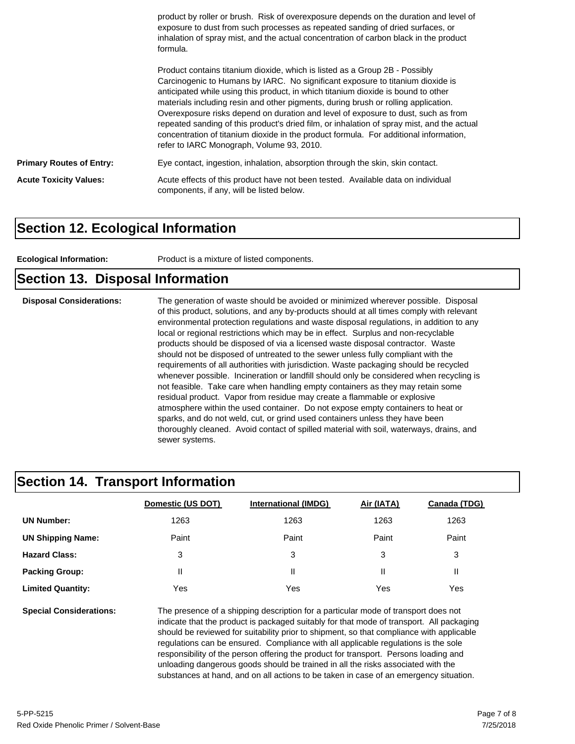|                                 | product by roller or brush. Risk of overexposure depends on the duration and level of<br>exposure to dust from such processes as repeated sanding of dried surfaces, or<br>inhalation of spray mist, and the actual concentration of carbon black in the product<br>formula.                                                                                                                                                                                                                                                                                                                                                                                      |  |  |
|---------------------------------|-------------------------------------------------------------------------------------------------------------------------------------------------------------------------------------------------------------------------------------------------------------------------------------------------------------------------------------------------------------------------------------------------------------------------------------------------------------------------------------------------------------------------------------------------------------------------------------------------------------------------------------------------------------------|--|--|
|                                 | Product contains titanium dioxide, which is listed as a Group 2B - Possibly<br>Carcinogenic to Humans by IARC. No significant exposure to titanium dioxide is<br>anticipated while using this product, in which titanium dioxide is bound to other<br>materials including resin and other pigments, during brush or rolling application.<br>Overexposure risks depend on duration and level of exposure to dust, such as from<br>repeated sanding of this product's dried film, or inhalation of spray mist, and the actual<br>concentration of titanium dioxide in the product formula. For additional information,<br>refer to IARC Monograph, Volume 93, 2010. |  |  |
| <b>Primary Routes of Entry:</b> | Eye contact, ingestion, inhalation, absorption through the skin, skin contact.                                                                                                                                                                                                                                                                                                                                                                                                                                                                                                                                                                                    |  |  |
| <b>Acute Toxicity Values:</b>   | Acute effects of this product have not been tested. Available data on individual<br>components, if any, will be listed below.                                                                                                                                                                                                                                                                                                                                                                                                                                                                                                                                     |  |  |

#### **Section 12. Ecological Information**

**Ecological Information:** Product is a mixture of listed components.

#### **Section 13. Disposal Information**

**Disposal Considerations:** The generation of waste should be avoided or minimized wherever possible. Disposal of this product, solutions, and any by-products should at all times comply with relevant environmental protection regulations and waste disposal regulations, in addition to any local or regional restrictions which may be in effect. Surplus and non-recyclable products should be disposed of via a licensed waste disposal contractor. Waste should not be disposed of untreated to the sewer unless fully compliant with the requirements of all authorities with jurisdiction. Waste packaging should be recycled whenever possible. Incineration or landfill should only be considered when recycling is not feasible. Take care when handling empty containers as they may retain some residual product. Vapor from residue may create a flammable or explosive atmosphere within the used container. Do not expose empty containers to heat or sparks, and do not weld, cut, or grind used containers unless they have been thoroughly cleaned. Avoid contact of spilled material with soil, waterways, drains, and sewer systems.

#### **Section 14. Transport Information**

|                          | Domestic (US DOT) | <b>International (IMDG)</b> | Air (IATA) | <b>Canada (TDG)</b> |
|--------------------------|-------------------|-----------------------------|------------|---------------------|
| <b>UN Number:</b>        | 1263              | 1263                        | 1263       | 1263                |
| <b>UN Shipping Name:</b> | Paint             | Paint                       | Paint      | Paint               |
| <b>Hazard Class:</b>     | 3                 | 3                           | 3          | 3                   |
| <b>Packing Group:</b>    | Ш                 | Ш                           | Ш          | Ш                   |
| <b>Limited Quantity:</b> | Yes               | Yes                         | Yes        | Yes                 |

**Special Considerations:** The presence of a shipping description for a particular mode of transport does not indicate that the product is packaged suitably for that mode of transport. All packaging should be reviewed for suitability prior to shipment, so that compliance with applicable regulations can be ensured. Compliance with all applicable regulations is the sole responsibility of the person offering the product for transport. Persons loading and unloading dangerous goods should be trained in all the risks associated with the substances at hand, and on all actions to be taken in case of an emergency situation.